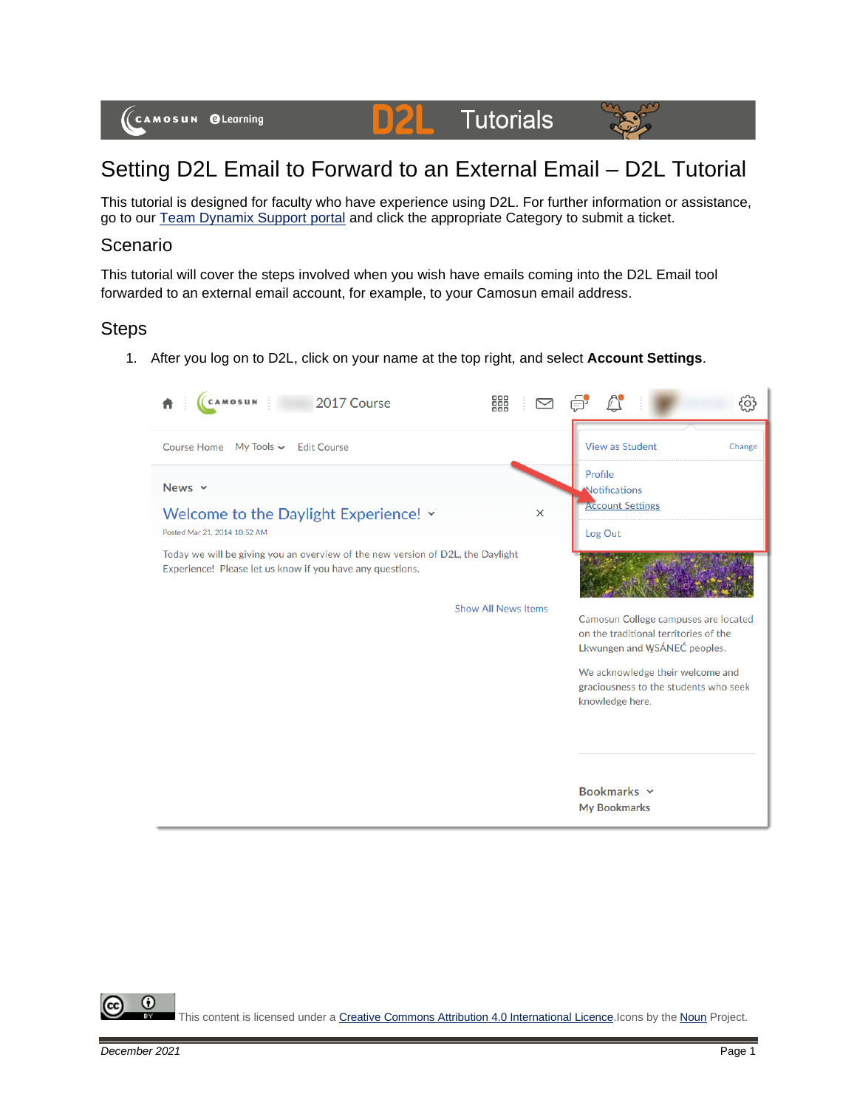#### **Tutorials** DZL.



# Setting D2L Email to Forward to an External Email – D2L Tutorial

This tutorial is designed for faculty who have experience using D2L. For further information or assistance, go to our [Team Dynamix Support portal](https://camosun.teamdynamix.com/TDClient/67/Portal/Requests/ServiceCatalog?CategoryID=523) and click the appropriate Category to submit a ticket.

#### Scenario

This tutorial will cover the steps involved when you wish have emails coming into the D2L Email tool forwarded to an external email account, for example, to your Camosun email address.

### Steps

1. After you log on to D2L, click on your name at the top right, and select **Account Settings**.



⋒ This content is licensed under [a Creative Commons Attribution 4.0 International Licence.I](https://creativecommons.org/licenses/by/4.0/)cons by the [Noun](https://creativecommons.org/website-icons/) Project.